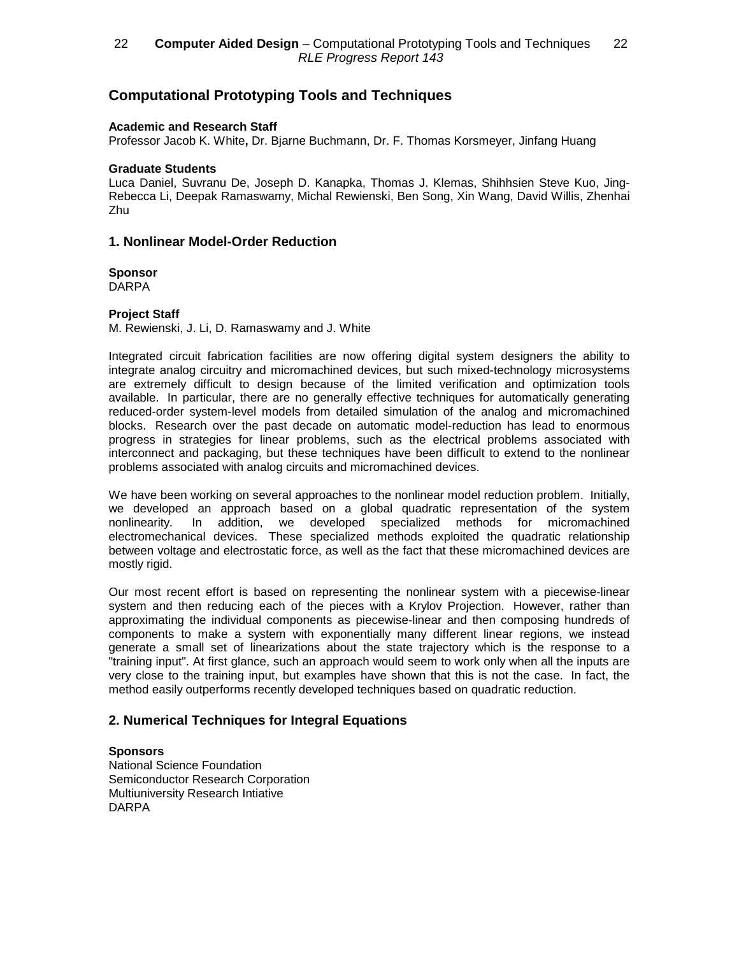# **Computational Prototyping Tools and Techniques**

### **Academic and Research Staff**

Professor Jacob K. White**,** Dr. Bjarne Buchmann, Dr. F. Thomas Korsmeyer, Jinfang Huang

#### **Graduate Students**

Luca Daniel, Suvranu De, Joseph D. Kanapka, Thomas J. Klemas, Shihhsien Steve Kuo, Jing-Rebecca Li, Deepak Ramaswamy, Michal Rewienski, Ben Song, Xin Wang, David Willis, Zhenhai Zhu

### **1. Nonlinear Model-Order Reduction**

**Sponsor**

DARPA

### **Project Staff**

M. Rewienski, J. Li, D. Ramaswamy and J. White

Integrated circuit fabrication facilities are now offering digital system designers the ability to integrate analog circuitry and micromachined devices, but such mixed-technology microsystems are extremely difficult to design because of the limited verification and optimization tools available. In particular, there are no generally effective techniques for automatically generating reduced-order system-level models from detailed simulation of the analog and micromachined blocks. Research over the past decade on automatic model-reduction has lead to enormous progress in strategies for linear problems, such as the electrical problems associated with interconnect and packaging, but these techniques have been difficult to extend to the nonlinear problems associated with analog circuits and micromachined devices.

We have been working on several approaches to the nonlinear model reduction problem. Initially, we developed an approach based on a global quadratic representation of the system nonlinearity. In addition, we developed specialized methods for micromachined electromechanical devices. These specialized methods exploited the quadratic relationship between voltage and electrostatic force, as well as the fact that these micromachined devices are mostly rigid.

Our most recent effort is based on representing the nonlinear system with a piecewise-linear system and then reducing each of the pieces with a Krylov Projection. However, rather than approximating the individual components as piecewise-linear and then composing hundreds of components to make a system with exponentially many different linear regions, we instead generate a small set of linearizations about the state trajectory which is the response to a "training input". At first glance, such an approach would seem to work only when all the inputs are very close to the training input, but examples have shown that this is not the case. In fact, the method easily outperforms recently developed techniques based on quadratic reduction.

### **2. Numerical Techniques for Integral Equations**

### **Sponsors**

National Science Foundation Semiconductor Research Corporation Multiuniversity Research Intiative DARPA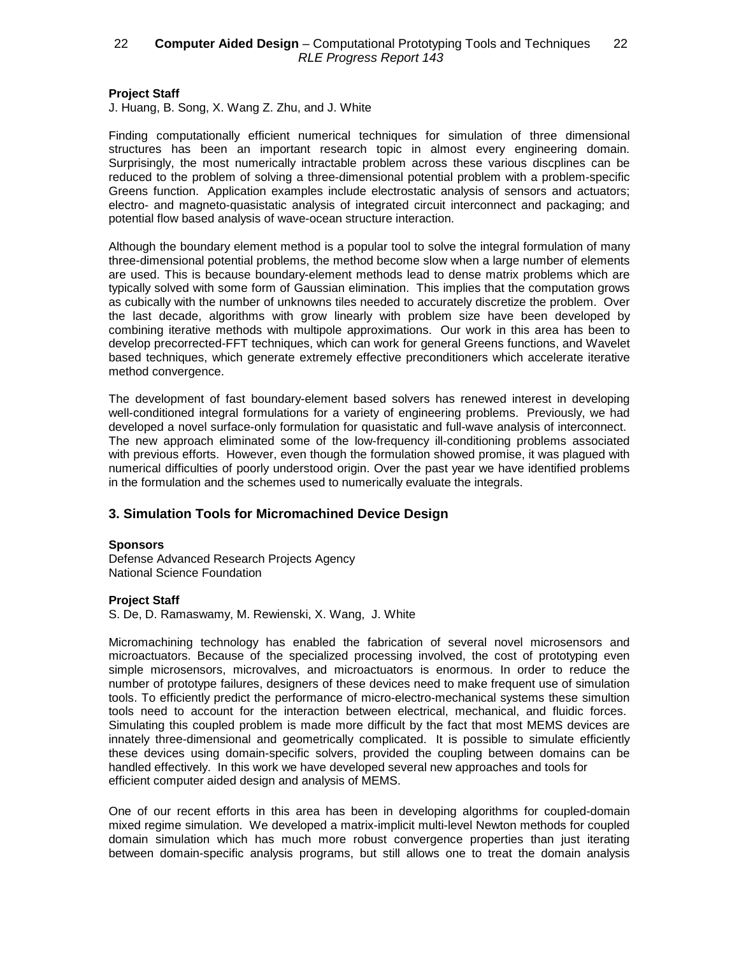## 22 **Computer Aided Design** – Computational Prototyping Tools and Techniques 22 RLE Progress Report 143

### **Project Staff**

J. Huang, B. Song, X. Wang Z. Zhu, and J. White

Finding computationally efficient numerical techniques for simulation of three dimensional structures has been an important research topic in almost every engineering domain. Surprisingly, the most numerically intractable problem across these various discplines can be reduced to the problem of solving a three-dimensional potential problem with a problem-specific Greens function. Application examples include electrostatic analysis of sensors and actuators; electro- and magneto-quasistatic analysis of integrated circuit interconnect and packaging; and potential flow based analysis of wave-ocean structure interaction.

Although the boundary element method is a popular tool to solve the integral formulation of many three-dimensional potential problems, the method become slow when a large number of elements are used. This is because boundary-element methods lead to dense matrix problems which are typically solved with some form of Gaussian elimination. This implies that the computation grows as cubically with the number of unknowns tiles needed to accurately discretize the problem. Over the last decade, algorithms with grow linearly with problem size have been developed by combining iterative methods with multipole approximations. Our work in this area has been to develop precorrected-FFT techniques, which can work for general Greens functions, and Wavelet based techniques, which generate extremely effective preconditioners which accelerate iterative method convergence.

The development of fast boundary-element based solvers has renewed interest in developing well-conditioned integral formulations for a variety of engineering problems. Previously, we had developed a novel surface-only formulation for quasistatic and full-wave analysis of interconnect. The new approach eliminated some of the low-frequency ill-conditioning problems associated with previous efforts. However, even though the formulation showed promise, it was plagued with numerical difficulties of poorly understood origin. Over the past year we have identified problems in the formulation and the schemes used to numerically evaluate the integrals.

### **3. Simulation Tools for Micromachined Device Design**

#### **Sponsors**

Defense Advanced Research Projects Agency National Science Foundation

### **Project Staff**

S. De, D. Ramaswamy, M. Rewienski, X. Wang, J. White

Micromachining technology has enabled the fabrication of several novel microsensors and microactuators. Because of the specialized processing involved, the cost of prototyping even simple microsensors, microvalves, and microactuators is enormous. In order to reduce the number of prototype failures, designers of these devices need to make frequent use of simulation tools. To efficiently predict the performance of micro-electro-mechanical systems these simultion tools need to account for the interaction between electrical, mechanical, and fluidic forces. Simulating this coupled problem is made more difficult by the fact that most MEMS devices are innately three-dimensional and geometrically complicated. It is possible to simulate efficiently these devices using domain-specific solvers, provided the coupling between domains can be handled effectively. In this work we have developed several new approaches and tools for efficient computer aided design and analysis of MEMS.

One of our recent efforts in this area has been in developing algorithms for coupled-domain mixed regime simulation. We developed a matrix-implicit multi-level Newton methods for coupled domain simulation which has much more robust convergence properties than just iterating between domain-specific analysis programs, but still allows one to treat the domain analysis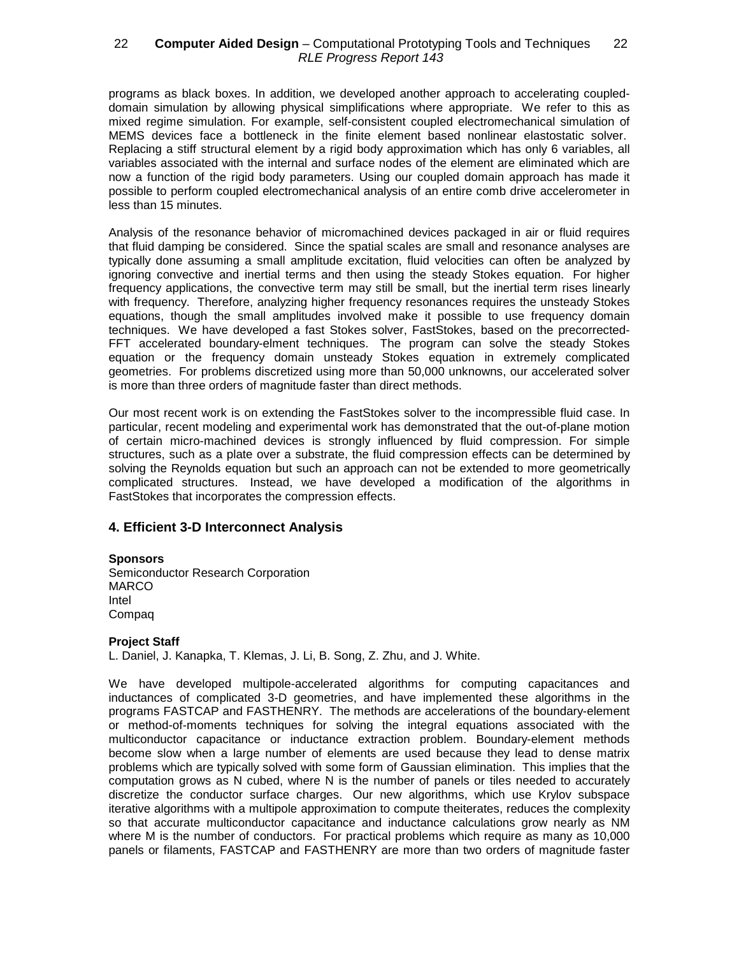### 22 — **Computer Aided Design** – Computational Prototyping Tools and Techniques — 22 RLE Progress Report 143

programs as black boxes. In addition, we developed another approach to accelerating coupleddomain simulation by allowing physical simplifications where appropriate. We refer to this as mixed regime simulation. For example, self-consistent coupled electromechanical simulation of MEMS devices face a bottleneck in the finite element based nonlinear elastostatic solver. Replacing a stiff structural element by a rigid body approximation which has only 6 variables, all variables associated with the internal and surface nodes of the element are eliminated which are now a function of the rigid body parameters. Using our coupled domain approach has made it possible to perform coupled electromechanical analysis of an entire comb drive accelerometer in less than 15 minutes.

Analysis of the resonance behavior of micromachined devices packaged in air or fluid requires that fluid damping be considered. Since the spatial scales are small and resonance analyses are typically done assuming a small amplitude excitation, fluid velocities can often be analyzed by ignoring convective and inertial terms and then using the steady Stokes equation. For higher frequency applications, the convective term may still be small, but the inertial term rises linearly with frequency. Therefore, analyzing higher frequency resonances requires the unsteady Stokes equations, though the small amplitudes involved make it possible to use frequency domain techniques. We have developed a fast Stokes solver, FastStokes, based on the precorrected-FFT accelerated boundary-elment techniques. The program can solve the steady Stokes equation or the frequency domain unsteady Stokes equation in extremely complicated geometries. For problems discretized using more than 50,000 unknowns, our accelerated solver is more than three orders of magnitude faster than direct methods.

Our most recent work is on extending the FastStokes solver to the incompressible fluid case. In particular, recent modeling and experimental work has demonstrated that the out-of-plane motion of certain micro-machined devices is strongly influenced by fluid compression. For simple structures, such as a plate over a substrate, the fluid compression effects can be determined by solving the Reynolds equation but such an approach can not be extended to more geometrically complicated structures. Instead, we have developed a modification of the algorithms in FastStokes that incorporates the compression effects.

### **4. Efficient 3-D Interconnect Analysis**

### **Sponsors**

Semiconductor Research Corporation MARCO Intel Compaq

### **Project Staff**

L. Daniel, J. Kanapka, T. Klemas, J. Li, B. Song, Z. Zhu, and J. White.

We have developed multipole-accelerated algorithms for computing capacitances and inductances of complicated 3-D geometries, and have implemented these algorithms in the programs FASTCAP and FASTHENRY. The methods are accelerations of the boundary-element or method-of-moments techniques for solving the integral equations associated with the multiconductor capacitance or inductance extraction problem. Boundary-element methods become slow when a large number of elements are used because they lead to dense matrix problems which are typically solved with some form of Gaussian elimination. This implies that the computation grows as N cubed, where N is the number of panels or tiles needed to accurately discretize the conductor surface charges. Our new algorithms, which use Krylov subspace iterative algorithms with a multipole approximation to compute theiterates, reduces the complexity so that accurate multiconductor capacitance and inductance calculations grow nearly as NM where M is the number of conductors. For practical problems which require as many as 10,000 panels or filaments, FASTCAP and FASTHENRY are more than two orders of magnitude faster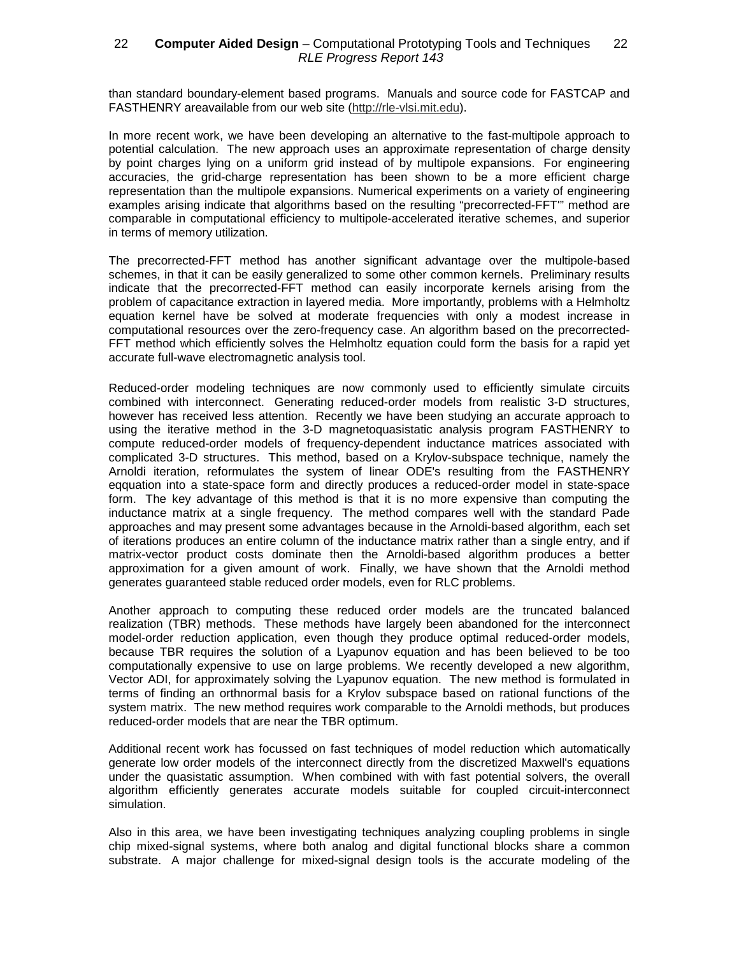### 22 — **Computer Aided Design** – Computational Prototyping Tools and Techniques — 22 RLE Progress Report 143

than standard boundary-element based programs. Manuals and source code for FASTCAP and FASTHENRY areavailable from our web site (http://rle-vlsi.mit.edu).

In more recent work, we have been developing an alternative to the fast-multipole approach to potential calculation. The new approach uses an approximate representation of charge density by point charges lying on a uniform grid instead of by multipole expansions. For engineering accuracies, the grid-charge representation has been shown to be a more efficient charge representation than the multipole expansions. Numerical experiments on a variety of engineering examples arising indicate that algorithms based on the resulting "precorrected-FFT'" method are comparable in computational efficiency to multipole-accelerated iterative schemes, and superior in terms of memory utilization.

The precorrected-FFT method has another significant advantage over the multipole-based schemes, in that it can be easily generalized to some other common kernels. Preliminary results indicate that the precorrected-FFT method can easily incorporate kernels arising from the problem of capacitance extraction in layered media. More importantly, problems with a Helmholtz equation kernel have be solved at moderate frequencies with only a modest increase in computational resources over the zero-frequency case. An algorithm based on the precorrected-FFT method which efficiently solves the Helmholtz equation could form the basis for a rapid yet accurate full-wave electromagnetic analysis tool.

Reduced-order modeling techniques are now commonly used to efficiently simulate circuits combined with interconnect. Generating reduced-order models from realistic 3-D structures, however has received less attention. Recently we have been studying an accurate approach to using the iterative method in the 3-D magnetoquasistatic analysis program FASTHENRY to compute reduced-order models of frequency-dependent inductance matrices associated with complicated 3-D structures. This method, based on a Krylov-subspace technique, namely the Arnoldi iteration, reformulates the system of linear ODE's resulting from the FASTHENRY eqquation into a state-space form and directly produces a reduced-order model in state-space form. The key advantage of this method is that it is no more expensive than computing the inductance matrix at a single frequency. The method compares well with the standard Pade approaches and may present some advantages because in the Arnoldi-based algorithm, each set of iterations produces an entire column of the inductance matrix rather than a single entry, and if matrix-vector product costs dominate then the Arnoldi-based algorithm produces a better approximation for a given amount of work. Finally, we have shown that the Arnoldi method generates guaranteed stable reduced order models, even for RLC problems.

Another approach to computing these reduced order models are the truncated balanced realization (TBR) methods. These methods have largely been abandoned for the interconnect model-order reduction application, even though they produce optimal reduced-order models, because TBR requires the solution of a Lyapunov equation and has been believed to be too computationally expensive to use on large problems. We recently developed a new algorithm, Vector ADI, for approximately solving the Lyapunov equation. The new method is formulated in terms of finding an orthnormal basis for a Krylov subspace based on rational functions of the system matrix. The new method requires work comparable to the Arnoldi methods, but produces reduced-order models that are near the TBR optimum.

Additional recent work has focussed on fast techniques of model reduction which automatically generate low order models of the interconnect directly from the discretized Maxwell's equations under the quasistatic assumption. When combined with with fast potential solvers, the overall algorithm efficiently generates accurate models suitable for coupled circuit-interconnect simulation.

Also in this area, we have been investigating techniques analyzing coupling problems in single chip mixed-signal systems, where both analog and digital functional blocks share a common substrate. A major challenge for mixed-signal design tools is the accurate modeling of the